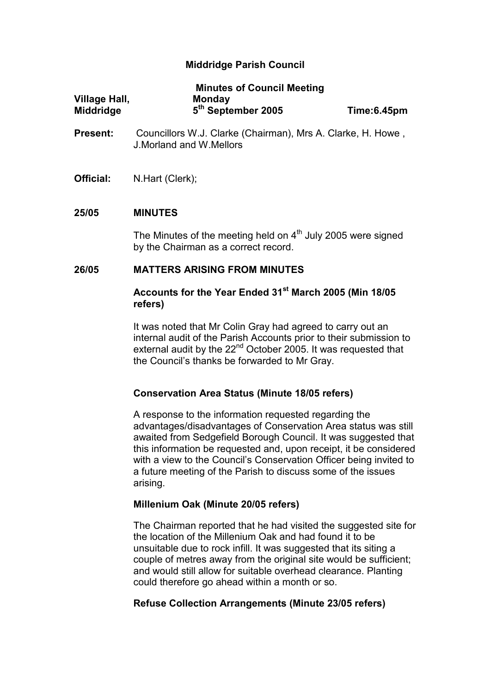# Middridge Parish Council

|                      | <b>Minutes of Council Meeting</b> |             |
|----------------------|-----------------------------------|-------------|
| <b>Village Hall,</b> | <b>Monday</b>                     |             |
| <b>Middridge</b>     | 5 <sup>th</sup> September 2005    | Time:6.45pm |

- Present: Councillors W.J. Clarke (Chairman), Mrs A. Clarke, H. Howe, J.Morland and W.Mellors
- Official: N.Hart (Clerk);

### 25/05 MINUTES

The Minutes of the meeting held on  $4<sup>th</sup>$  July 2005 were signed by the Chairman as a correct record.

## 26/05 MATTERS ARISING FROM MINUTES

## Accounts for the Year Ended 31<sup>st</sup> March 2005 (Min 18/05 refers)

It was noted that Mr Colin Gray had agreed to carry out an internal audit of the Parish Accounts prior to their submission to external audit by the 22<sup>nd</sup> October 2005. It was requested that the Council's thanks be forwarded to Mr Gray.

### Conservation Area Status (Minute 18/05 refers)

A response to the information requested regarding the advantages/disadvantages of Conservation Area status was still awaited from Sedgefield Borough Council. It was suggested that this information be requested and, upon receipt, it be considered with a view to the Council's Conservation Officer being invited to a future meeting of the Parish to discuss some of the issues arising.

### Millenium Oak (Minute 20/05 refers)

The Chairman reported that he had visited the suggested site for the location of the Millenium Oak and had found it to be unsuitable due to rock infill. It was suggested that its siting a couple of metres away from the original site would be sufficient; and would still allow for suitable overhead clearance. Planting could therefore go ahead within a month or so.

# Refuse Collection Arrangements (Minute 23/05 refers)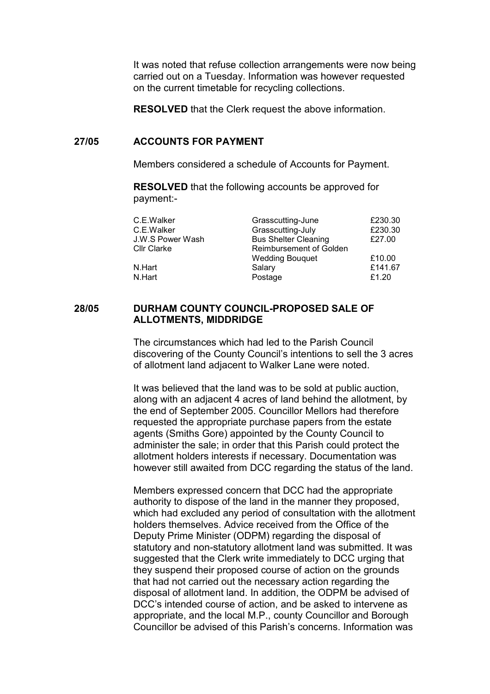It was noted that refuse collection arrangements were now being carried out on a Tuesday. Information was however requested on the current timetable for recycling collections.

RESOLVED that the Clerk request the above information.

#### 27/05 ACCOUNTS FOR PAYMENT

Members considered a schedule of Accounts for Payment.

 RESOLVED that the following accounts be approved for payment:-

| C.E.Walker         | Grasscutting-June           | £230.30 |
|--------------------|-----------------------------|---------|
| C.E.Walker         | Grasscutting-July           | £230.30 |
| J.W.S Power Wash   | <b>Bus Shelter Cleaning</b> | £27.00  |
| <b>Cllr Clarke</b> | Reimbursement of Golden     |         |
|                    | <b>Wedding Bouquet</b>      | £10.00  |
| N.Hart             | Salary                      | £141.67 |
| N.Hart             | Postage                     | £1.20   |

#### 28/05 DURHAM COUNTY COUNCIL-PROPOSED SALE OF ALLOTMENTS, MIDDRIDGE

The circumstances which had led to the Parish Council discovering of the County Council's intentions to sell the 3 acres of allotment land adjacent to Walker Lane were noted.

It was believed that the land was to be sold at public auction, along with an adjacent 4 acres of land behind the allotment, by the end of September 2005. Councillor Mellors had therefore requested the appropriate purchase papers from the estate agents (Smiths Gore) appointed by the County Council to administer the sale; in order that this Parish could protect the allotment holders interests if necessary. Documentation was however still awaited from DCC regarding the status of the land.

Members expressed concern that DCC had the appropriate authority to dispose of the land in the manner they proposed, which had excluded any period of consultation with the allotment holders themselves. Advice received from the Office of the Deputy Prime Minister (ODPM) regarding the disposal of statutory and non-statutory allotment land was submitted. It was suggested that the Clerk write immediately to DCC urging that they suspend their proposed course of action on the grounds that had not carried out the necessary action regarding the disposal of allotment land. In addition, the ODPM be advised of DCC's intended course of action, and be asked to intervene as appropriate, and the local M.P., county Councillor and Borough Councillor be advised of this Parish's concerns. Information was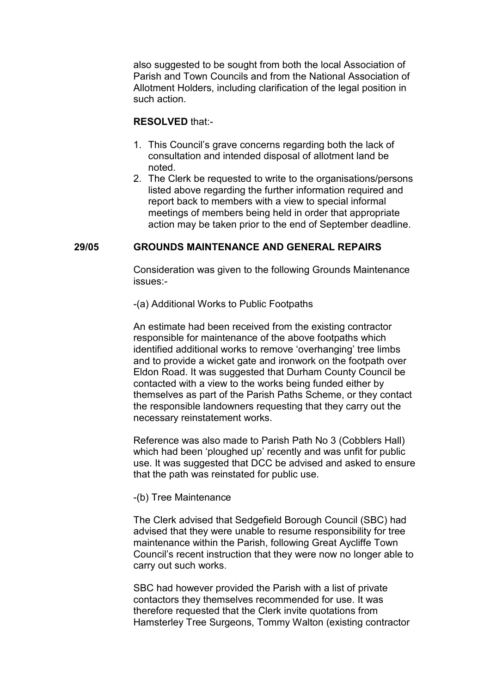also suggested to be sought from both the local Association of Parish and Town Councils and from the National Association of Allotment Holders, including clarification of the legal position in such action.

## RESOLVED that:-

- 1. This Council's grave concerns regarding both the lack of consultation and intended disposal of allotment land be noted.
- 2. The Clerk be requested to write to the organisations/persons listed above regarding the further information required and report back to members with a view to special informal meetings of members being held in order that appropriate action may be taken prior to the end of September deadline.

## 29/05 GROUNDS MAINTENANCE AND GENERAL REPAIRS

Consideration was given to the following Grounds Maintenance issues:-

-(a) Additional Works to Public Footpaths

An estimate had been received from the existing contractor responsible for maintenance of the above footpaths which identified additional works to remove 'overhanging' tree limbs and to provide a wicket gate and ironwork on the footpath over Eldon Road. It was suggested that Durham County Council be contacted with a view to the works being funded either by themselves as part of the Parish Paths Scheme, or they contact the responsible landowners requesting that they carry out the necessary reinstatement works.

Reference was also made to Parish Path No 3 (Cobblers Hall) which had been 'ploughed up' recently and was unfit for public use. It was suggested that DCC be advised and asked to ensure that the path was reinstated for public use.

### -(b) Tree Maintenance

The Clerk advised that Sedgefield Borough Council (SBC) had advised that they were unable to resume responsibility for tree maintenance within the Parish, following Great Aycliffe Town Council's recent instruction that they were now no longer able to carry out such works.

SBC had however provided the Parish with a list of private contactors they themselves recommended for use. It was therefore requested that the Clerk invite quotations from Hamsterley Tree Surgeons, Tommy Walton (existing contractor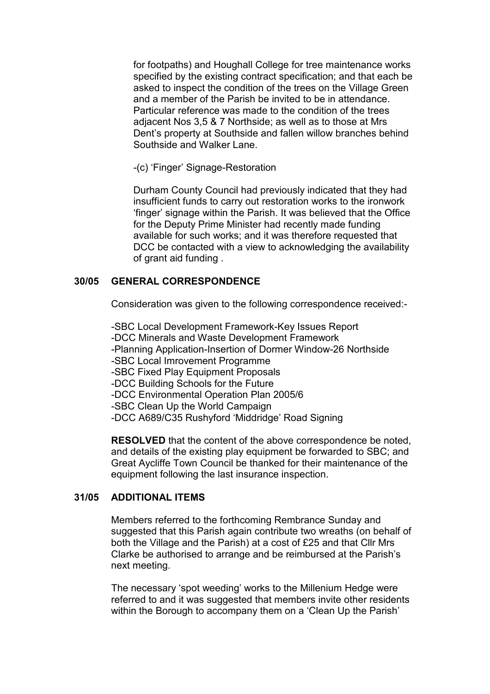for footpaths) and Houghall College for tree maintenance works specified by the existing contract specification; and that each be asked to inspect the condition of the trees on the Village Green and a member of the Parish be invited to be in attendance. Particular reference was made to the condition of the trees adjacent Nos 3,5 & 7 Northside; as well as to those at Mrs Dent's property at Southside and fallen willow branches behind Southside and Walker Lane.

-(c) 'Finger' Signage-Restoration

Durham County Council had previously indicated that they had insufficient funds to carry out restoration works to the ironwork 'finger' signage within the Parish. It was believed that the Office for the Deputy Prime Minister had recently made funding available for such works; and it was therefore requested that DCC be contacted with a view to acknowledging the availability of grant aid funding .

# 30/05 GENERAL CORRESPONDENCE

Consideration was given to the following correspondence received:-

 -SBC Local Development Framework-Key Issues Report -DCC Minerals and Waste Development Framework -Planning Application-Insertion of Dormer Window-26 Northside -SBC Local Imrovement Programme -SBC Fixed Play Equipment Proposals -DCC Building Schools for the Future -DCC Environmental Operation Plan 2005/6 -SBC Clean Up the World Campaign -DCC A689/C35 Rushyford 'Middridge' Road Signing

RESOLVED that the content of the above correspondence be noted, and details of the existing play equipment be forwarded to SBC; and Great Aycliffe Town Council be thanked for their maintenance of the equipment following the last insurance inspection.

# 31/05 ADDITIONAL ITEMS

Members referred to the forthcoming Rembrance Sunday and suggested that this Parish again contribute two wreaths (on behalf of both the Village and the Parish) at a cost of £25 and that Cllr Mrs Clarke be authorised to arrange and be reimbursed at the Parish's next meeting.

 The necessary 'spot weeding' works to the Millenium Hedge were referred to and it was suggested that members invite other residents within the Borough to accompany them on a 'Clean Up the Parish'